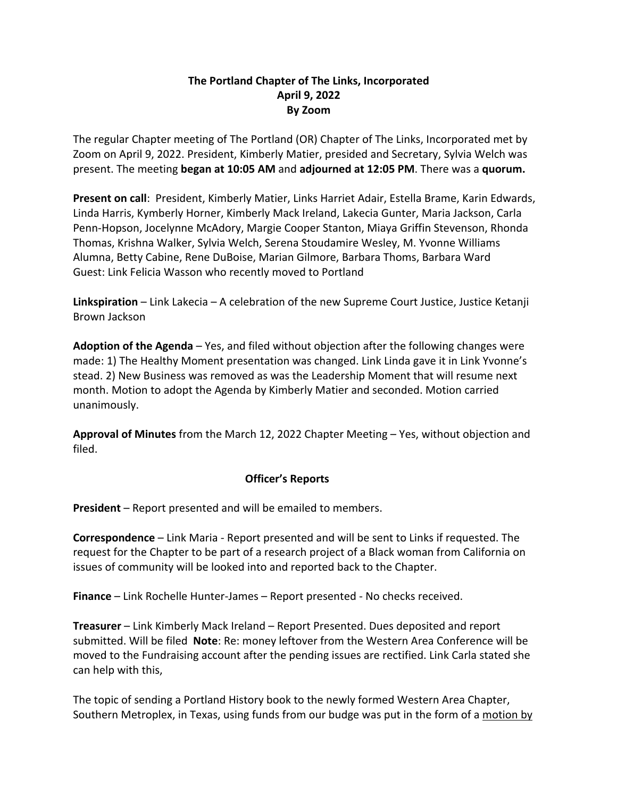## **The Portland Chapter of The Links, Incorporated April 9, 2022 By Zoom**

The regular Chapter meeting of The Portland (OR) Chapter of The Links, Incorporated met by Zoom on April 9, 2022. President, Kimberly Matier, presided and Secretary, Sylvia Welch was present. The meeting **began at 10:05 AM** and **adjourned at 12:05 PM**. There was a **quorum.**

**Present on call**: President, Kimberly Matier, Links Harriet Adair, Estella Brame, Karin Edwards, Linda Harris, Kymberly Horner, Kimberly Mack Ireland, Lakecia Gunter, Maria Jackson, Carla Penn-Hopson, Jocelynne McAdory, Margie Cooper Stanton, Miaya Griffin Stevenson, Rhonda Thomas, Krishna Walker, Sylvia Welch, Serena Stoudamire Wesley, M. Yvonne Williams Alumna, Betty Cabine, Rene DuBoise, Marian Gilmore, Barbara Thoms, Barbara Ward Guest: Link Felicia Wasson who recently moved to Portland

**Linkspiration** – Link Lakecia – A celebration of the new Supreme Court Justice, Justice Ketanji Brown Jackson

**Adoption of the Agenda** – Yes, and filed without objection after the following changes were made: 1) The Healthy Moment presentation was changed. Link Linda gave it in Link Yvonne's stead. 2) New Business was removed as was the Leadership Moment that will resume next month. Motion to adopt the Agenda by Kimberly Matier and seconded. Motion carried unanimously.

**Approval of Minutes** from the March 12, 2022 Chapter Meeting – Yes, without objection and filed.

## **Officer's Reports**

**President** – Report presented and will be emailed to members.

**Correspondence** – Link Maria - Report presented and will be sent to Links if requested. The request for the Chapter to be part of a research project of a Black woman from California on issues of community will be looked into and reported back to the Chapter.

**Finance** – Link Rochelle Hunter-James – Report presented - No checks received.

**Treasurer** – Link Kimberly Mack Ireland – Report Presented. Dues deposited and report submitted. Will be filed **Note**: Re: money leftover from the Western Area Conference will be moved to the Fundraising account after the pending issues are rectified. Link Carla stated she can help with this,

The topic of sending a Portland History book to the newly formed Western Area Chapter, Southern Metroplex, in Texas, using funds from our budge was put in the form of a motion by